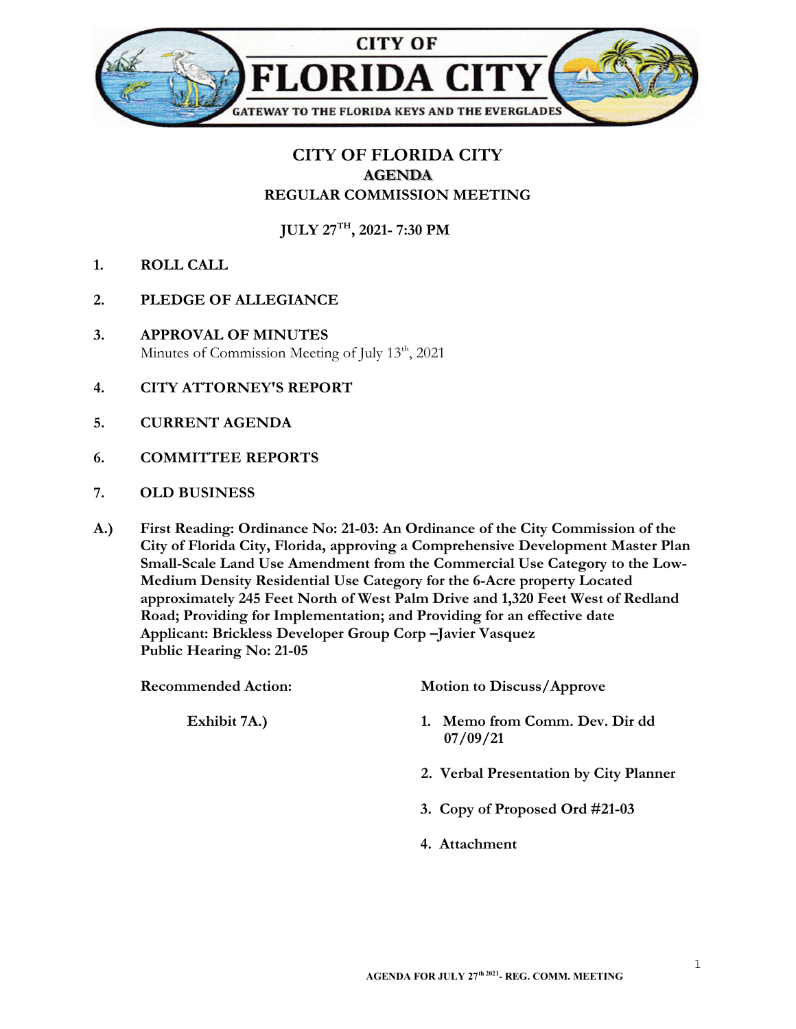

## CITY OF FLORIDA CITY AGENDA REGULAR COMMISSION MEETING

JULY 27TH, 2021- 7:30 PM

- 1. ROLL CALL
- 2. PLEDGE OF ALLEGIANCE
- 3. APPROVAL OF MINUTES Minutes of Commission Meeting of July  $13<sup>th</sup>$ , 2021
- 4. CITY ATTORNEY'S REPORT
- 5. CURRENT AGENDA
- 6. COMMITTEE REPORTS
- 7. OLD BUSINESS
- A.) First Reading: Ordinance No: 21-03: An Ordinance of the City Commission of the City of Florida City, Florida, approving a Comprehensive Development Master Plan Small-Scale Land Use Amendment from the Commercial Use Category to the Low-Medium Density Residential Use Category for the 6-Acre property Located approximately 245 Feet North of West Palm Drive and 1,320 Feet West of Redland Road; Providing for Implementation; and Providing for an effective date Applicant: Brickless Developer Group Corp –Javier Vasquez Public Hearing No: 21-05

Recommended Action: Motion to Discuss/Approve Exhibit 7A.) 1. Memo from Comm. Dev. Dir dd 07/09/21 2. Verbal Presentation by City Planner 3. Copy of Proposed Ord #21-03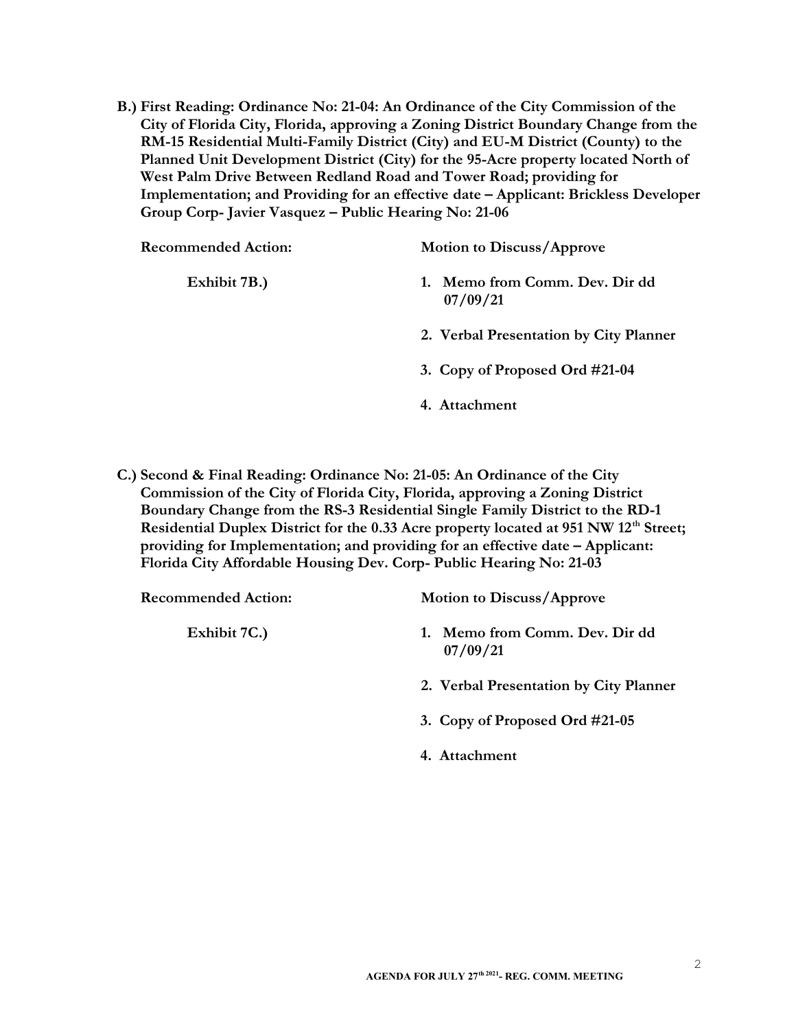B.) First Reading: Ordinance No: 21-04: An Ordinance of the City Commission of the City of Florida City, Florida, approving a Zoning District Boundary Change from the RM-15 Residential Multi-Family District (City) and EU-M District (County) to the Planned Unit Development District (City) for the 95-Acre property located North of West Palm Drive Between Redland Road and Tower Road; providing for Implementation; and Providing for an effective date – Applicant: Brickless Developer Group Corp- Javier Vasquez – Public Hearing No: 21-06

| <b>Recommended Action:</b> | <b>Motion to Discuss/Approve</b>        |
|----------------------------|-----------------------------------------|
| Exhibit 7B.)               | Memo from Comm. Dev. Dir dd<br>07/09/21 |
|                            | 2. Verbal Presentation by City Planner  |
|                            | 3. Copy of Proposed Ord #21-04          |
|                            | 4. Attachment                           |

C.) Second & Final Reading: Ordinance No: 21-05: An Ordinance of the City Commission of the City of Florida City, Florida, approving a Zoning District Boundary Change from the RS-3 Residential Single Family District to the RD-1 Residential Duplex District for the 0.33 Acre property located at 951 NW 12<sup>th</sup> Street; providing for Implementation; and providing for an effective date – Applicant: Florida City Affordable Housing Dev. Corp- Public Hearing No: 21-03

Recommended Action: Motion to Discuss/Approve

- Exhibit 7C.) 1. Memo from Comm. Dev. Dir dd 07/09/21
	- 2. Verbal Presentation by City Planner
	- 3. Copy of Proposed Ord #21-05
	- 4. Attachment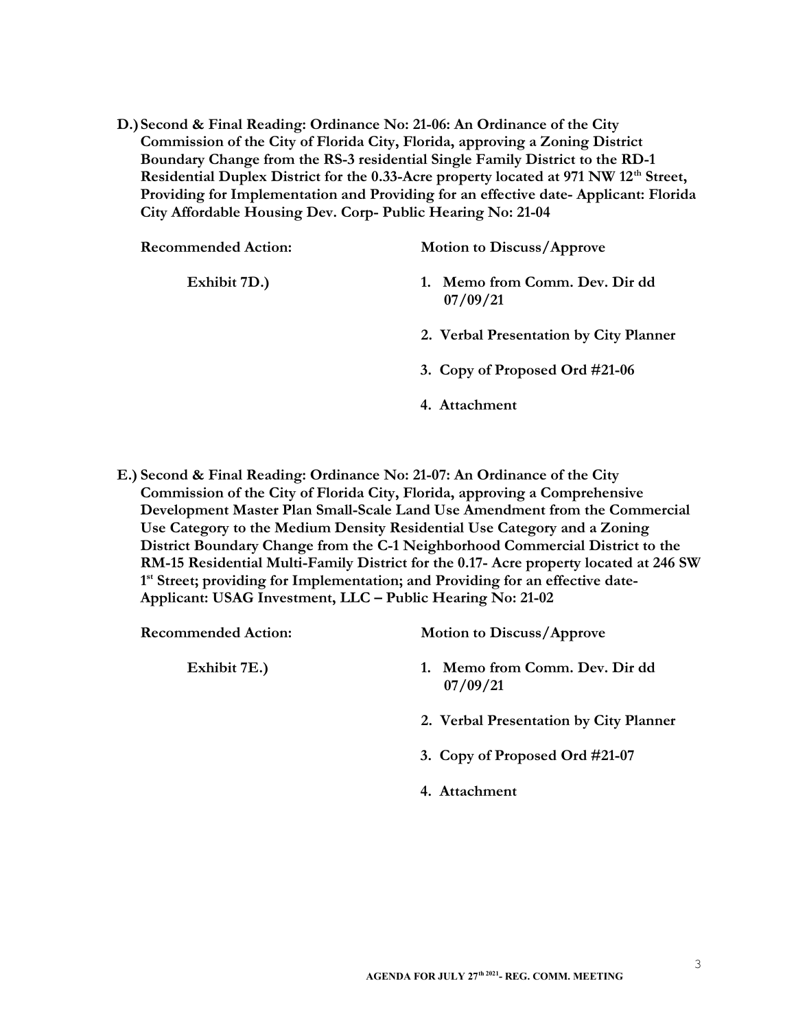D.)Second & Final Reading: Ordinance No: 21-06: An Ordinance of the City Commission of the City of Florida City, Florida, approving a Zoning District Boundary Change from the RS-3 residential Single Family District to the RD-1 Residential Duplex District for the 0.33-Acre property located at 971 NW 12<sup>th</sup> Street, Providing for Implementation and Providing for an effective date- Applicant: Florida City Affordable Housing Dev. Corp- Public Hearing No: 21-04

| <b>Recommended Action:</b> | <b>Motion to Discuss/Approve</b>        |
|----------------------------|-----------------------------------------|
| Exhibit 7D.)               | Memo from Comm. Dev. Dir dd<br>07/09/21 |
|                            | 2. Verbal Presentation by City Planner  |
|                            | 3. Copy of Proposed Ord #21-06          |
|                            | 4. Attachment                           |

E.) Second & Final Reading: Ordinance No: 21-07: An Ordinance of the City Commission of the City of Florida City, Florida, approving a Comprehensive Development Master Plan Small-Scale Land Use Amendment from the Commercial Use Category to the Medium Density Residential Use Category and a Zoning District Boundary Change from the C-1 Neighborhood Commercial District to the RM-15 Residential Multi-Family District for the 0.17- Acre property located at 246 SW 1<sup>st</sup> Street; providing for Implementation; and Providing for an effective date-Applicant: USAG Investment, LLC – Public Hearing No: 21-02

| <b>Recommended Action:</b> | <b>Motion to Discuss/Approve</b>              |
|----------------------------|-----------------------------------------------|
| Exhibit 7E.)               | Memo from Comm. Dev. Dir dd<br>1.<br>07/09/21 |
|                            | 2. Verbal Presentation by City Planner        |
|                            | 3. Copy of Proposed Ord #21-07                |
|                            | 4. Attachment                                 |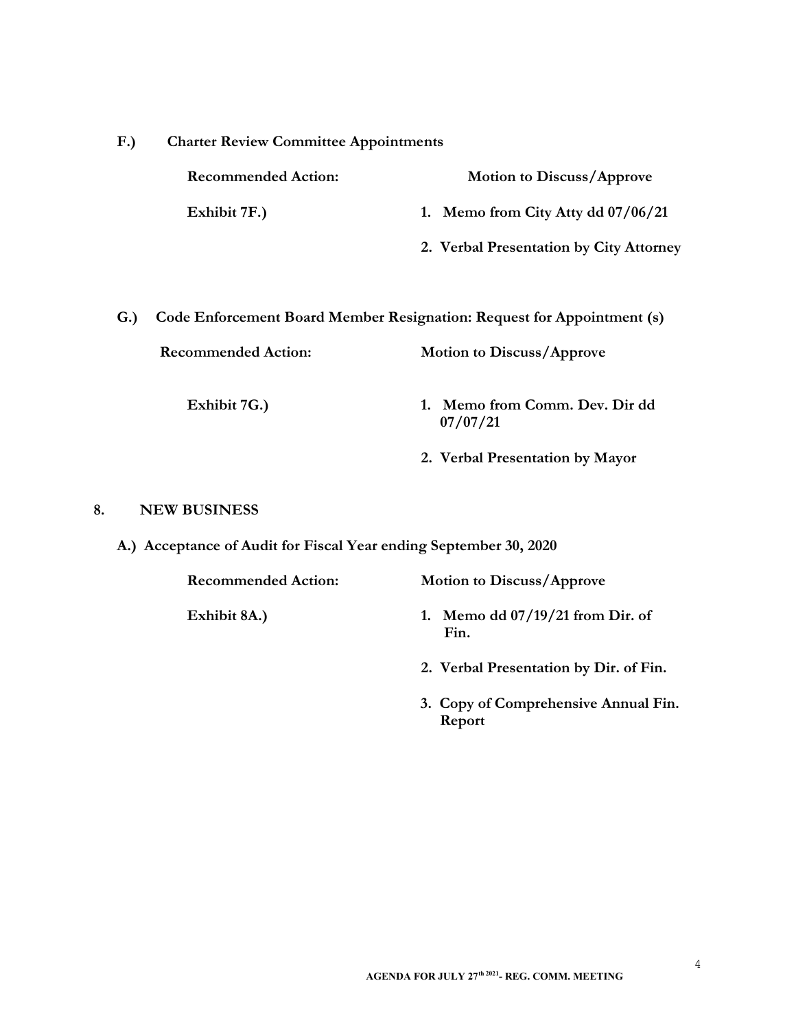| F.)                                                                           | <b>Charter Review Committee Appointments</b> |                                            |
|-------------------------------------------------------------------------------|----------------------------------------------|--------------------------------------------|
|                                                                               | <b>Recommended Action:</b>                   | <b>Motion to Discuss/Approve</b>           |
|                                                                               | Exhibit 7F.)                                 | 1. Memo from City Atty dd 07/06/21         |
|                                                                               |                                              | 2. Verbal Presentation by City Attorney    |
|                                                                               |                                              |                                            |
| Code Enforcement Board Member Resignation: Request for Appointment (s)<br>G.) |                                              |                                            |
|                                                                               | <b>Recommended Action:</b>                   | <b>Motion to Discuss/Approve</b>           |
|                                                                               |                                              |                                            |
|                                                                               | Exhibit 7G.)                                 | 1. Memo from Comm. Dev. Dir dd<br>07/07/21 |
|                                                                               |                                              | 2. Verbal Presentation by Mayor            |
|                                                                               |                                              |                                            |

## 8. NEW BUSINESS

A.) Acceptance of Audit for Fiscal Year ending September 30, 2020

Fin.

| <b>Recommended Action:</b> | <b>Motion to Discuss/Approve</b>   |
|----------------------------|------------------------------------|
| Exhibit 8A.)               | 1. Memo dd $07/19/21$ from Dir. of |

- 2. Verbal Presentation by Dir. of Fin.
- 3. Copy of Comprehensive Annual Fin. Report